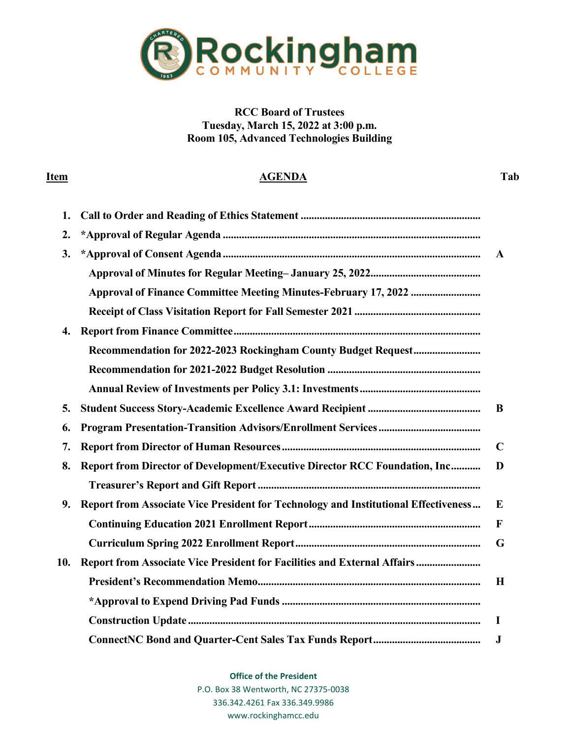

**RCC Board of Trustees Tuesday, March 15, 2022 at 3:00 p.m. Room 105, Advanced Technologies Building**

## **Item AGENDA Tab**

| 1.  |                                                                                     |              |
|-----|-------------------------------------------------------------------------------------|--------------|
| 2.  |                                                                                     |              |
| 3.  |                                                                                     | $\mathbf{A}$ |
|     |                                                                                     |              |
|     |                                                                                     |              |
|     |                                                                                     |              |
| 4.  |                                                                                     |              |
|     |                                                                                     |              |
|     |                                                                                     |              |
|     |                                                                                     |              |
| 5.  |                                                                                     | B            |
| 6.  |                                                                                     |              |
| 7.  |                                                                                     | $\mathbf C$  |
| 8.  | Report from Director of Development/Executive Director RCC Foundation, Inc          | D            |
|     |                                                                                     |              |
| 9.  | Report from Associate Vice President for Technology and Institutional Effectiveness | E            |
|     |                                                                                     | $\mathbf{F}$ |
|     |                                                                                     | G            |
| 10. | Report from Associate Vice President for Facilities and External Affairs            |              |
|     |                                                                                     | H            |
|     |                                                                                     |              |
|     |                                                                                     | 1            |
|     |                                                                                     | $\bf J$      |